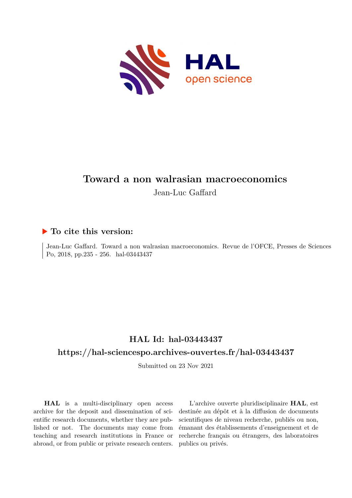

# **Toward a non walrasian macroeconomics**

Jean-Luc Gaffard

## **To cite this version:**

Jean-Luc Gaffard. Toward a non walrasian macroeconomics. Revue de l'OFCE, Presses de Sciences Po, 2018, pp.235 - 256. hal-03443437

# **HAL Id: hal-03443437 <https://hal-sciencespo.archives-ouvertes.fr/hal-03443437>**

Submitted on 23 Nov 2021

**HAL** is a multi-disciplinary open access archive for the deposit and dissemination of scientific research documents, whether they are published or not. The documents may come from teaching and research institutions in France or abroad, or from public or private research centers.

L'archive ouverte pluridisciplinaire **HAL**, est destinée au dépôt et à la diffusion de documents scientifiques de niveau recherche, publiés ou non, émanant des établissements d'enseignement et de recherche français ou étrangers, des laboratoires publics ou privés.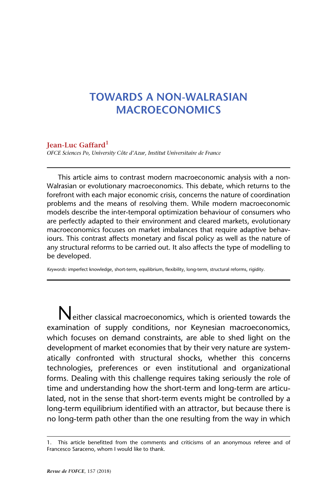## **TOWARDS A NON-WALRASIAN MACROECONOMICS**

#### **Jean-Luc Gaffard1**

*OFCE Sciences Po, University Côte d'Azur, Institut Universitaire de France*

This article aims to contrast modern macroeconomic analysis with a non-Walrasian or evolutionary macroeconomics. This debate, which returns to the forefront with each major economic crisis, concerns the nature of coordination problems and the means of resolving them. While modern macroeconomic models describe the inter-temporal optimization behaviour of consumers who are perfectly adapted to their environment and cleared markets, evolutionary macroeconomics focuses on market imbalances that require adaptive behaviours. This contrast affects monetary and fiscal policy as well as the nature of any structural reforms to be carried out. It also affects the type of modelling to be developed.

*Keywords:* imperfect knowledge, short-term, equilibrium, flexibility, long-term, structural reforms, rigidity.

Neither classical macroeconomics, which is oriented towards the examination of supply conditions, nor Keynesian macroeconomics, which focuses on demand constraints, are able to shed light on the development of market economies that by their very nature are systematically confronted with structural shocks, whether this concerns technologies, preferences or even institutional and organizational forms. Dealing with this challenge requires taking seriously the role of time and understanding how the short-term and long-term are articulated, not in the sense that short-term events might be controlled by a long-term equilibrium identified with an attractor, but because there is no long-term path other than the one resulting from the way in which

<sup>1.</sup> This article benefitted from the comments and criticisms of an anonymous referee and of Francesco Saraceno, whom I would like to thank.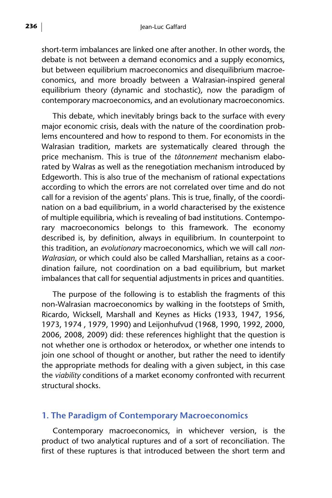short-term imbalances are linked one after another. In other words, the debate is not between a demand economics and a supply economics, but between equilibrium macroeconomics and disequilibrium macroeconomics, and more broadly between a Walrasian-inspired general equilibrium theory (dynamic and stochastic), now the paradigm of contemporary macroeconomics, and an evolutionary macroeconomics.

This debate, which inevitably brings back to the surface with every major economic crisis, deals with the nature of the coordination problems encountered and how to respond to them. For economists in the Walrasian tradition, markets are systematically cleared through the price mechanism. This is true of the *tâtonnement* mechanism elaborated by Walras as well as the renegotiation mechanism introduced by Edgeworth. This is also true of the mechanism of rational expectations according to which the errors are not correlated over time and do not call for a revision of the agents' plans. This is true, finally, of the coordination on a bad equilibrium, in a world characterised by the existence of multiple equilibria, which is revealing of bad institutions. Contemporary macroeconomics belongs to this framework. The economy described is, by definition, always in equilibrium. In counterpoint to this tradition, an *evolutionary* macroeconomics, which we will call *non-Walrasian*, or which could also be called Marshallian, retains as a coordination failure, not coordination on a bad equilibrium, but market imbalances that call for sequential adjustments in prices and quantities.

The purpose of the following is to establish the fragments of this non-Walrasian macroeconomics by walking in the footsteps of Smith, Ricardo, Wicksell, Marshall and Keynes as Hicks (1933, 1947, 1956, 1973, 1974 , 1979, 1990) and Leijonhufvud (1968, 1990, 1992, 2000, 2006, 2008, 2009) did: these references highlight that the question is not whether one is orthodox or heterodox, or whether one intends to join one school of thought or another, but rather the need to identify the appropriate methods for dealing with a given subject, in this case the *viability* conditions of a market economy confronted with recurrent structural shocks.

#### **1. The Paradigm of Contemporary Macroeconomics**

Contemporary macroeconomics, in whichever version, is the product of two analytical ruptures and of a sort of reconciliation. The first of these ruptures is that introduced between the short term and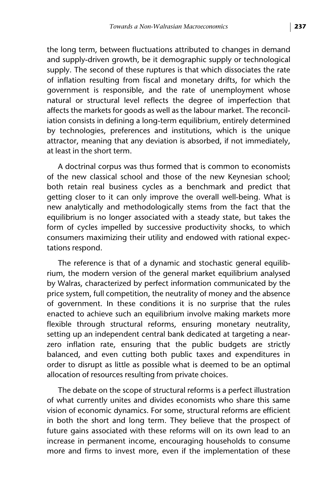the long term, between fluctuations attributed to changes in demand and supply-driven growth, be it demographic supply or technological supply. The second of these ruptures is that which dissociates the rate of inflation resulting from fiscal and monetary drifts, for which the government is responsible, and the rate of unemployment whose natural or structural level reflects the degree of imperfection that affects the markets for goods as well as the labour market. The reconciliation consists in defining a long-term equilibrium, entirely determined by technologies, preferences and institutions, which is the unique attractor, meaning that any deviation is absorbed, if not immediately, at least in the short term.

A doctrinal corpus was thus formed that is common to economists of the new classical school and those of the new Keynesian school; both retain real business cycles as a benchmark and predict that getting closer to it can only improve the overall well-being. What is new analytically and methodologically stems from the fact that the equilibrium is no longer associated with a steady state, but takes the form of cycles impelled by successive productivity shocks, to which consumers maximizing their utility and endowed with rational expectations respond.

The reference is that of a dynamic and stochastic general equilibrium, the modern version of the general market equilibrium analysed by Walras, characterized by perfect information communicated by the price system, full competition, the neutrality of money and the absence of government. In these conditions it is no surprise that the rules enacted to achieve such an equilibrium involve making markets more flexible through structural reforms, ensuring monetary neutrality, setting up an independent central bank dedicated at targeting a nearzero inflation rate, ensuring that the public budgets are strictly balanced, and even cutting both public taxes and expenditures in order to disrupt as little as possible what is deemed to be an optimal allocation of resources resulting from private choices.

The debate on the scope of structural reforms is a perfect illustration of what currently unites and divides economists who share this same vision of economic dynamics. For some, structural reforms are efficient in both the short and long term. They believe that the prospect of future gains associated with these reforms will on its own lead to an increase in permanent income, encouraging households to consume more and firms to invest more, even if the implementation of these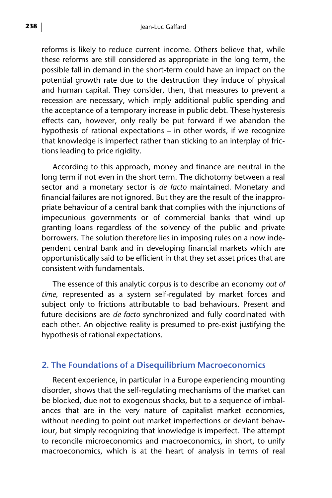reforms is likely to reduce current income. Others believe that, while these reforms are still considered as appropriate in the long term, the possible fall in demand in the short-term could have an impact on the potential growth rate due to the destruction they induce of physical and human capital. They consider, then, that measures to prevent a recession are necessary, which imply additional public spending and the acceptance of a temporary increase in public debt. These hysteresis effects can, however, only really be put forward if we abandon the hypothesis of rational expectations – in other words, if we recognize that knowledge is imperfect rather than sticking to an interplay of frictions leading to price rigidity.

According to this approach, money and finance are neutral in the long term if not even in the short term. The dichotomy between a real sector and a monetary sector is *de facto* maintained. Monetary and financial failures are not ignored. But they are the result of the inappropriate behaviour of a central bank that complies with the injunctions of impecunious governments or of commercial banks that wind up granting loans regardless of the solvency of the public and private borrowers. The solution therefore lies in imposing rules on a now independent central bank and in developing financial markets which are opportunistically said to be efficient in that they set asset prices that are consistent with fundamentals.

The essence of this analytic corpus is to describe an economy *out of time,* represented as a system self-regulated by market forces and subject only to frictions attributable to bad behaviours. Present and future decisions are *de facto* synchronized and fully coordinated with each other. An objective reality is presumed to pre-exist justifying the hypothesis of rational expectations.

#### **2. The Foundations of a Disequilibrium Macroeconomics**

Recent experience, in particular in a Europe experiencing mounting disorder, shows that the self-regulating mechanisms of the market can be blocked, due not to exogenous shocks, but to a sequence of imbalances that are in the very nature of capitalist market economies, without needing to point out market imperfections or deviant behaviour, but simply recognizing that knowledge is imperfect. The attempt to reconcile microeconomics and macroeconomics, in short, to unify macroeconomics, which is at the heart of analysis in terms of real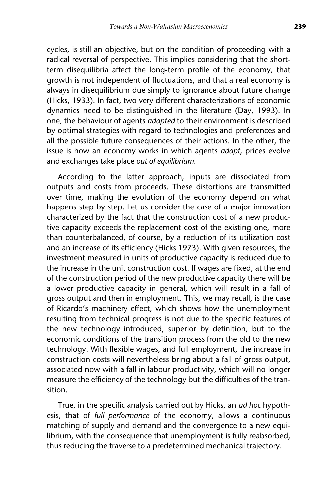cycles, is still an objective, but on the condition of proceeding with a radical reversal of perspective. This implies considering that the shortterm disequilibria affect the long-term profile of the economy, that growth is not independent of fluctuations, and that a real economy is always in disequilibrium due simply to ignorance about future change (Hicks, 1933). In fact, two very different characterizations of economic dynamics need to be distinguished in the literature (Day, 1993). In one, the behaviour of agents *adapted* to their environment is described by optimal strategies with regard to technologies and preferences and all the possible future consequences of their actions. In the other, the issue is how an economy works in which agents *adapt*, prices evolve and exchanges take place *out of equilibrium*.

According to the latter approach, inputs are dissociated from outputs and costs from proceeds. These distortions are transmitted over time, making the evolution of the economy depend on what happens step by step. Let us consider the case of a major innovation characterized by the fact that the construction cost of a new productive capacity exceeds the replacement cost of the existing one, more than counterbalanced, of course, by a reduction of its utilization cost and an increase of its efficiency (Hicks 1973). With given resources, the investment measured in units of productive capacity is reduced due to the increase in the unit construction cost. If wages are fixed, at the end of the construction period of the new productive capacity there will be a lower productive capacity in general, which will result in a fall of gross output and then in employment. This, we may recall, is the case of Ricardo's machinery effect, which shows how the unemployment resulting from technical progress is not due to the specific features of the new technology introduced, superior by definition, but to the economic conditions of the transition process from the old to the new technology. With flexible wages, and full employment, the increase in construction costs will nevertheless bring about a fall of gross output, associated now with a fall in labour productivity, which will no longer measure the efficiency of the technology but the difficulties of the transition.

True, in the specific analysis carried out by Hicks, an *ad hoc* hypothesis, that of *full performance* of the economy, allows a continuous matching of supply and demand and the convergence to a new equilibrium, with the consequence that unemployment is fully reabsorbed, thus reducing the traverse to a predetermined mechanical trajectory.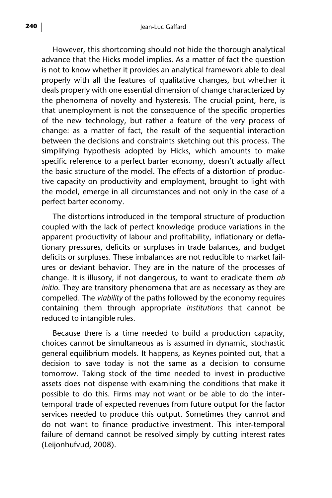However, this shortcoming should not hide the thorough analytical advance that the Hicks model implies. As a matter of fact the question is not to know whether it provides an analytical framework able to deal properly with all the features of qualitative changes, but whether it deals properly with one essential dimension of change characterized by the phenomena of novelty and hysteresis. The crucial point, here, is that unemployment is not the consequence of the specific properties of the new technology, but rather a feature of the very process of change: as a matter of fact, the result of the sequential interaction between the decisions and constraints sketching out this process. The simplifying hypothesis adopted by Hicks, which amounts to make specific reference to a perfect barter economy, doesn't actually affect the basic structure of the model. The effects of a distortion of productive capacity on productivity and employment, brought to light with the model, emerge in all circumstances and not only in the case of a perfect barter economy.

The distortions introduced in the temporal structure of production coupled with the lack of perfect knowledge produce variations in the apparent productivity of labour and profitability, inflationary or deflationary pressures, deficits or surpluses in trade balances, and budget deficits or surpluses. These imbalances are not reducible to market failures or deviant behavior. They are in the nature of the processes of change. It is illusory, if not dangerous, to want to eradicate them *ab initio*. They are transitory phenomena that are as necessary as they are compelled. The *viability* of the paths followed by the economy requires containing them through appropriate *institutions* that cannot be reduced to intangible rules.

Because there is a time needed to build a production capacity, choices cannot be simultaneous as is assumed in dynamic, stochastic general equilibrium models. It happens, as Keynes pointed out, that a decision to save today is not the same as a decision to consume tomorrow. Taking stock of the time needed to invest in productive assets does not dispense with examining the conditions that make it possible to do this. Firms may not want or be able to do the intertemporal trade of expected revenues from future output for the factor services needed to produce this output. Sometimes they cannot and do not want to finance productive investment. This inter-temporal failure of demand cannot be resolved simply by cutting interest rates (Leijonhufvud, 2008).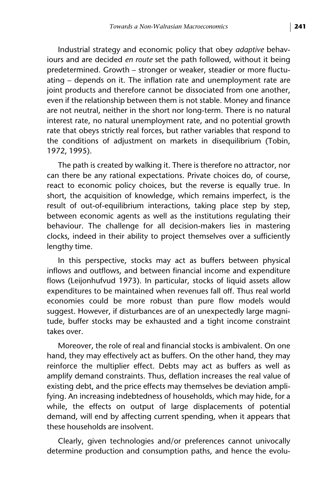Industrial strategy and economic policy that obey *adaptive* behaviours and are decided *en route* set the path followed, without it being predetermined. Growth – stronger or weaker, steadier or more fluctuating – depends on it. The inflation rate and unemployment rate are joint products and therefore cannot be dissociated from one another, even if the relationship between them is not stable. Money and finance are not neutral, neither in the short nor long-term. There is no natural interest rate, no natural unemployment rate, and no potential growth rate that obeys strictly real forces, but rather variables that respond to the conditions of adjustment on markets in disequilibrium (Tobin, 1972, 1995).

The path is created by walking it. There is therefore no attractor, nor can there be any rational expectations. Private choices do, of course, react to economic policy choices, but the reverse is equally true. In short, the acquisition of knowledge, which remains imperfect, is the result of out-of-equilibrium interactions, taking place step by step, between economic agents as well as the institutions regulating their behaviour. The challenge for all decision-makers lies in mastering clocks, indeed in their ability to project themselves over a sufficiently lengthy time.

In this perspective, stocks may act as buffers between physical inflows and outflows, and between financial income and expenditure flows (Leijonhufvud 1973). In particular, stocks of liquid assets allow expenditures to be maintained when revenues fall off. Thus real world economies could be more robust than pure flow models would suggest. However, if disturbances are of an unexpectedly large magnitude, buffer stocks may be exhausted and a tight income constraint takes over.

Moreover, the role of real and financial stocks is ambivalent. On one hand, they may effectively act as buffers. On the other hand, they may reinforce the multiplier effect. Debts may act as buffers as well as amplify demand constraints. Thus, deflation increases the real value of existing debt, and the price effects may themselves be deviation amplifying. An increasing indebtedness of households, which may hide, for a while, the effects on output of large displacements of potential demand, will end by affecting current spending, when it appears that these households are insolvent.

Clearly, given technologies and/or preferences cannot univocally determine production and consumption paths, and hence the evolu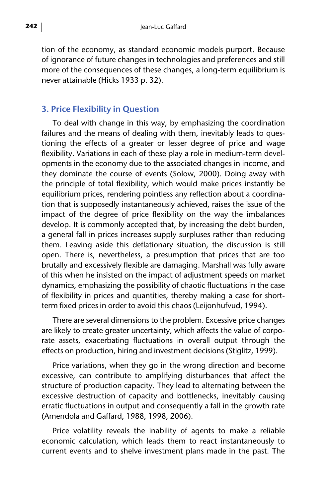tion of the economy, as standard economic models purport. Because of ignorance of future changes in technologies and preferences and still more of the consequences of these changes, a long-term equilibrium is never attainable (Hicks 1933 p. 32).

### **3. Price Flexibility in Question**

To deal with change in this way, by emphasizing the coordination failures and the means of dealing with them, inevitably leads to questioning the effects of a greater or lesser degree of price and wage flexibility. Variations in each of these play a role in medium-term developments in the economy due to the associated changes in income, and they dominate the course of events (Solow, 2000). Doing away with the principle of total flexibility, which would make prices instantly be equilibrium prices, rendering pointless any reflection about a coordination that is supposedly instantaneously achieved, raises the issue of the impact of the degree of price flexibility on the way the imbalances develop. It is commonly accepted that, by increasing the debt burden, a general fall in prices increases supply surpluses rather than reducing them. Leaving aside this deflationary situation, the discussion is still open. There is, nevertheless, a presumption that prices that are too brutally and excessively flexible are damaging. Marshall was fully aware of this when he insisted on the impact of adjustment speeds on market dynamics, emphasizing the possibility of chaotic fluctuations in the case of flexibility in prices and quantities, thereby making a case for shortterm fixed prices in order to avoid this chaos (Leijonhufvud, 1994).

There are several dimensions to the problem. Excessive price changes are likely to create greater uncertainty, which affects the value of corporate assets, exacerbating fluctuations in overall output through the effects on production, hiring and investment decisions (Stiglitz, 1999).

Price variations, when they go in the wrong direction and become excessive, can contribute to amplifying disturbances that affect the structure of production capacity. They lead to alternating between the excessive destruction of capacity and bottlenecks, inevitably causing erratic fluctuations in output and consequently a fall in the growth rate (Amendola and Gaffard, 1988, 1998, 2006).

Price volatility reveals the inability of agents to make a reliable economic calculation, which leads them to react instantaneously to current events and to shelve investment plans made in the past. The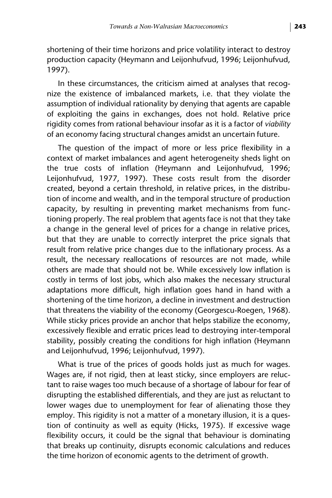shortening of their time horizons and price volatility interact to destroy production capacity (Heymann and Leijonhufvud, 1996; Leijonhufvud, 1997).

In these circumstances, the criticism aimed at analyses that recognize the existence of imbalanced markets, i.e. that they violate the assumption of individual rationality by denying that agents are capable of exploiting the gains in exchanges, does not hold. Relative price rigidity comes from rational behaviour insofar as it is a factor of *viability* of an economy facing structural changes amidst an uncertain future.

The question of the impact of more or less price flexibility in a context of market imbalances and agent heterogeneity sheds light on the true costs of inflation (Heymann and Leijonhufvud, 1996; Leijonhufvud, 1977, 1997). These costs result from the disorder created, beyond a certain threshold, in relative prices, in the distribution of income and wealth, and in the temporal structure of production capacity, by resulting in preventing market mechanisms from functioning properly. The real problem that agents face is not that they take a change in the general level of prices for a change in relative prices, but that they are unable to correctly interpret the price signals that result from relative price changes due to the inflationary process. As a result, the necessary reallocations of resources are not made, while others are made that should not be. While excessively low inflation is costly in terms of lost jobs, which also makes the necessary structural adaptations more difficult, high inflation goes hand in hand with a shortening of the time horizon, a decline in investment and destruction that threatens the viability of the economy (Georgescu-Roegen, 1968). While sticky prices provide an anchor that helps stabilize the economy, excessively flexible and erratic prices lead to destroying inter-temporal stability, possibly creating the conditions for high inflation (Heymann and Leijonhufvud, 1996; Leijonhufvud, 1997).

What is true of the prices of goods holds just as much for wages. Wages are, if not rigid, then at least sticky, since employers are reluctant to raise wages too much because of a shortage of labour for fear of disrupting the established differentials, and they are just as reluctant to lower wages due to unemployment for fear of alienating those they employ. This rigidity is not a matter of a monetary illusion, it is a question of continuity as well as equity (Hicks, 1975). If excessive wage flexibility occurs, it could be the signal that behaviour is dominating that breaks up continuity, disrupts economic calculations and reduces the time horizon of economic agents to the detriment of growth.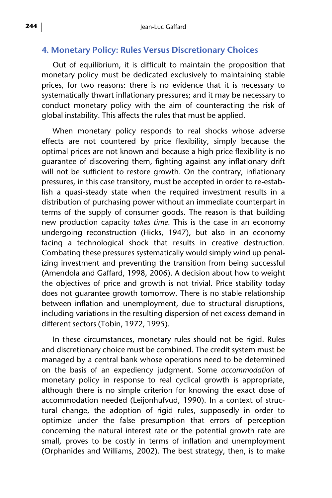#### **4. Monetary Policy: Rules Versus Discretionary Choices**

Out of equilibrium, it is difficult to maintain the proposition that monetary policy must be dedicated exclusively to maintaining stable prices, for two reasons: there is no evidence that it is necessary to systematically thwart inflationary pressures; and it may be necessary to conduct monetary policy with the aim of counteracting the risk of global instability. This affects the rules that must be applied.

When monetary policy responds to real shocks whose adverse effects are not countered by price flexibility, simply because the optimal prices are not known and because a high price flexibility is no guarantee of discovering them, fighting against any inflationary drift will not be sufficient to restore growth. On the contrary, inflationary pressures, in this case transitory, must be accepted in order to re-establish a quasi-steady state when the required investment results in a distribution of purchasing power without an immediate counterpart in terms of the supply of consumer goods. The reason is that building new production capacity *takes time*. This is the case in an economy undergoing reconstruction (Hicks, 1947), but also in an economy facing a technological shock that results in creative destruction. Combating these pressures systematically would simply wind up penalizing investment and preventing the transition from being successful (Amendola and Gaffard, 1998, 2006). A decision about how to weight the objectives of price and growth is not trivial. Price stability today does not guarantee growth tomorrow. There is no stable relationship between inflation and unemployment, due to structural disruptions, including variations in the resulting dispersion of net excess demand in different sectors (Tobin, 1972, 1995).

In these circumstances, monetary rules should not be rigid. Rules and discretionary choice must be combined. The credit system must be managed by a central bank whose operations need to be determined on the basis of an expediency judgment. Some *accommodation* of monetary policy in response to real cyclical growth is appropriate, although there is no simple criterion for knowing the exact dose of accommodation needed (Leijonhufvud, 1990). In a context of structural change, the adoption of rigid rules, supposedly in order to optimize under the false presumption that errors of perception concerning the natural interest rate or the potential growth rate are small, proves to be costly in terms of inflation and unemployment (Orphanides and Williams, 2002). The best strategy, then, is to make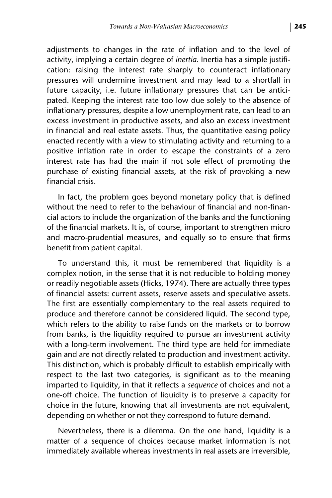adjustments to changes in the rate of inflation and to the level of activity, implying a certain degree of *inertia*. Inertia has a simple justification: raising the interest rate sharply to counteract inflationary pressures will undermine investment and may lead to a shortfall in future capacity, i.e. future inflationary pressures that can be anticipated. Keeping the interest rate too low due solely to the absence of inflationary pressures, despite a low unemployment rate, can lead to an excess investment in productive assets, and also an excess investment in financial and real estate assets. Thus, the quantitative easing policy enacted recently with a view to stimulating activity and returning to a positive inflation rate in order to escape the constraints of a zero interest rate has had the main if not sole effect of promoting the purchase of existing financial assets, at the risk of provoking a new financial crisis.

In fact, the problem goes beyond monetary policy that is defined without the need to refer to the behaviour of financial and non-financial actors to include the organization of the banks and the functioning of the financial markets. It is, of course, important to strengthen micro and macro-prudential measures, and equally so to ensure that firms benefit from patient capital.

To understand this, it must be remembered that liquidity is a complex notion, in the sense that it is not reducible to holding money or readily negotiable assets (Hicks, 1974). There are actually three types of financial assets: current assets, reserve assets and speculative assets. The first are essentially complementary to the real assets required to produce and therefore cannot be considered liquid. The second type, which refers to the ability to raise funds on the markets or to borrow from banks, is the liquidity required to pursue an investment activity with a long-term involvement. The third type are held for immediate gain and are not directly related to production and investment activity. This distinction, which is probably difficult to establish empirically with respect to the last two categories, is significant as to the meaning imparted to liquidity, in that it reflects a *sequence* of choices and not a one-off choice. The function of liquidity is to preserve a capacity for choice in the future, knowing that all investments are not equivalent, depending on whether or not they correspond to future demand.

Nevertheless, there is a dilemma. On the one hand, liquidity is a matter of a sequence of choices because market information is not immediately available whereas investments in real assets are irreversible,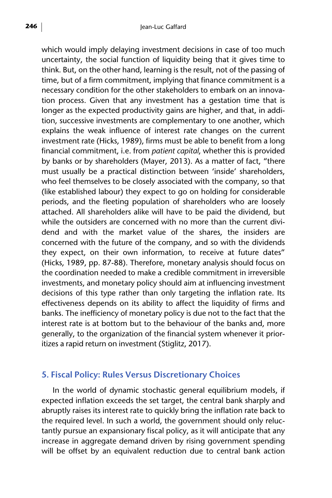which would imply delaying investment decisions in case of too much uncertainty, the social function of liquidity being that it gives time to think. But, on the other hand, learning is the result, not of the passing of time, but of a firm commitment, implying that finance commitment is a necessary condition for the other stakeholders to embark on an innovation process. Given that any investment has a gestation time that is longer as the expected productivity gains are higher, and that, in addition, successive investments are complementary to one another, which explains the weak influence of interest rate changes on the current investment rate (Hicks, 1989), firms must be able to benefit from a long financial commitment, i.e. from *patient capital*, whether this is provided by banks or by shareholders (Mayer, 2013). As a matter of fact, "there must usually be a practical distinction between 'inside' shareholders, who feel themselves to be closely associated with the company, so that (like established labour) they expect to go on holding for considerable periods, and the fleeting population of shareholders who are loosely attached. All shareholders alike will have to be paid the dividend, but while the outsiders are concerned with no more than the current dividend and with the market value of the shares, the insiders are concerned with the future of the company, and so with the dividends they expect, on their own information, to receive at future dates" (Hicks, 1989, pp. 87-88). Therefore, monetary analysis should focus on the coordination needed to make a credible commitment in irreversible investments, and monetary policy should aim at influencing investment decisions of this type rather than only targeting the inflation rate. Its effectiveness depends on its ability to affect the liquidity of firms and banks. The inefficiency of monetary policy is due not to the fact that the interest rate is at bottom but to the behaviour of the banks and, more generally, to the organization of the financial system whenever it prioritizes a rapid return on investment (Stiglitz, 2017).

#### **5. Fiscal Policy: Rules Versus Discretionary Choices**

In the world of dynamic stochastic general equilibrium models, if expected inflation exceeds the set target, the central bank sharply and abruptly raises its interest rate to quickly bring the inflation rate back to the required level. In such a world, the government should only reluctantly pursue an expansionary fiscal policy, as it will anticipate that any increase in aggregate demand driven by rising government spending will be offset by an equivalent reduction due to central bank action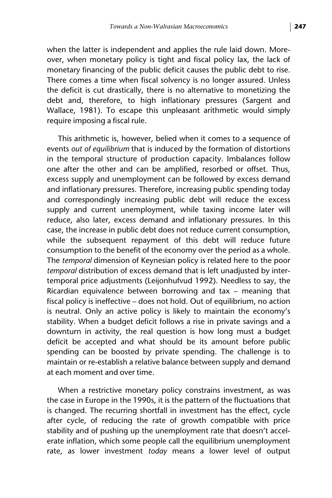when the latter is independent and applies the rule laid down. Moreover, when monetary policy is tight and fiscal policy lax, the lack of monetary financing of the public deficit causes the public debt to rise. There comes a time when fiscal solvency is no longer assured. Unless the deficit is cut drastically, there is no alternative to monetizing the debt and, therefore, to high inflationary pressures (Sargent and Wallace, 1981). To escape this unpleasant arithmetic would simply require imposing a fiscal rule.

This arithmetic is, however, belied when it comes to a sequence of events *out of equilibrium* that is induced by the formation of distortions in the temporal structure of production capacity. Imbalances follow one after the other and can be amplified, resorbed or offset. Thus, excess supply and unemployment can be followed by excess demand and inflationary pressures. Therefore, increasing public spending today and correspondingly increasing public debt will reduce the excess supply and current unemployment, while taxing income later will reduce, also later, excess demand and inflationary pressures. In this case, the increase in public debt does not reduce current consumption, while the subsequent repayment of this debt will reduce future consumption to the benefit of the economy over the period as a whole. The *temporal* dimension of Keynesian policy is related here to the poor *temporal* distribution of excess demand that is left unadjusted by intertemporal price adjustments (Leijonhufvud 1992). Needless to say, the Ricardian equivalence between borrowing and tax – meaning that fiscal policy is ineffective – does not hold. Out of equilibrium, no action is neutral. Only an active policy is likely to maintain the economy's stability. When a budget deficit follows a rise in private savings and a downturn in activity, the real question is how long must a budget deficit be accepted and what should be its amount before public spending can be boosted by private spending. The challenge is to maintain or re-establish a relative balance between supply and demand at each moment and over time.

When a restrictive monetary policy constrains investment, as was the case in Europe in the 1990s, it is the pattern of the fluctuations that is changed. The recurring shortfall in investment has the effect, cycle after cycle, of reducing the rate of growth compatible with price stability and of pushing up the unemployment rate that doesn't accelerate inflation, which some people call the equilibrium unemployment rate, as lower investment *today* means a lower level of output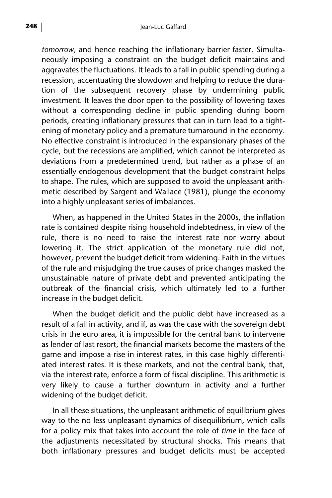*tomorrow,* and hence reaching the inflationary barrier faster. Simultaneously imposing a constraint on the budget deficit maintains and aggravates the fluctuations. It leads to a fall in public spending during a recession, accentuating the slowdown and helping to reduce the duration of the subsequent recovery phase by undermining public investment. It leaves the door open to the possibility of lowering taxes without a corresponding decline in public spending during boom periods, creating inflationary pressures that can in turn lead to a tightening of monetary policy and a premature turnaround in the economy. No effective constraint is introduced in the expansionary phases of the cycle, but the recessions are amplified, which cannot be interpreted as deviations from a predetermined trend, but rather as a phase of an essentially endogenous development that the budget constraint helps to shape. The rules, which are supposed to avoid the unpleasant arithmetic described by Sargent and Wallace (1981), plunge the economy into a highly unpleasant series of imbalances.

When, as happened in the United States in the 2000s, the inflation rate is contained despite rising household indebtedness, in view of the rule, there is no need to raise the interest rate nor worry about lowering it. The strict application of the monetary rule did not, however, prevent the budget deficit from widening. Faith in the virtues of the rule and misjudging the true causes of price changes masked the unsustainable nature of private debt and prevented anticipating the outbreak of the financial crisis, which ultimately led to a further increase in the budget deficit.

When the budget deficit and the public debt have increased as a result of a fall in activity, and if, as was the case with the sovereign debt crisis in the euro area, it is impossible for the central bank to intervene as lender of last resort, the financial markets become the masters of the game and impose a rise in interest rates, in this case highly differentiated interest rates. It is these markets, and not the central bank, that, via the interest rate, enforce a form of fiscal discipline. This arithmetic is very likely to cause a further downturn in activity and a further widening of the budget deficit.

In all these situations, the unpleasant arithmetic of equilibrium gives way to the no less unpleasant dynamics of disequilibrium, which calls for a policy mix that takes into account the role of *time* in the face of the adjustments necessitated by structural shocks. This means that both inflationary pressures and budget deficits must be accepted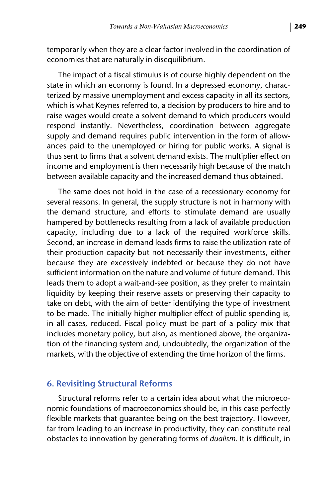temporarily when they are a clear factor involved in the coordination of economies that are naturally in disequilibrium.

The impact of a fiscal stimulus is of course highly dependent on the state in which an economy is found. In a depressed economy, characterized by massive unemployment and excess capacity in all its sectors, which is what Keynes referred to, a decision by producers to hire and to raise wages would create a solvent demand to which producers would respond instantly. Nevertheless, coordination between aggregate supply and demand requires public intervention in the form of allowances paid to the unemployed or hiring for public works. A signal is thus sent to firms that a solvent demand exists. The multiplier effect on income and employment is then necessarily high because of the match between available capacity and the increased demand thus obtained.

The same does not hold in the case of a recessionary economy for several reasons. In general, the supply structure is not in harmony with the demand structure, and efforts to stimulate demand are usually hampered by bottlenecks resulting from a lack of available production capacity, including due to a lack of the required workforce skills. Second, an increase in demand leads firms to raise the utilization rate of their production capacity but not necessarily their investments, either because they are excessively indebted or because they do not have sufficient information on the nature and volume of future demand. This leads them to adopt a wait-and-see position, as they prefer to maintain liquidity by keeping their reserve assets or preserving their capacity to take on debt, with the aim of better identifying the type of investment to be made. The initially higher multiplier effect of public spending is, in all cases, reduced. Fiscal policy must be part of a policy mix that includes monetary policy, but also, as mentioned above, the organization of the financing system and, undoubtedly, the organization of the markets, with the objective of extending the time horizon of the firms.

#### **6. Revisiting Structural Reforms**

Structural reforms refer to a certain idea about what the microeconomic foundations of macroeconomics should be, in this case perfectly flexible markets that guarantee being on the best trajectory. However, far from leading to an increase in productivity, they can constitute real obstacles to innovation by generating forms of *dualism*. It is difficult, in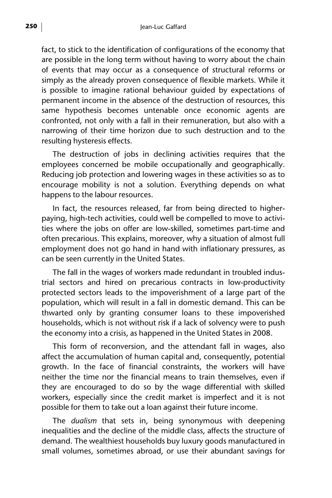fact, to stick to the identification of configurations of the economy that are possible in the long term without having to worry about the chain of events that may occur as a consequence of structural reforms or simply as the already proven consequence of flexible markets. While it is possible to imagine rational behaviour guided by expectations of permanent income in the absence of the destruction of resources, this same hypothesis becomes untenable once economic agents are confronted, not only with a fall in their remuneration, but also with a narrowing of their time horizon due to such destruction and to the resulting hysteresis effects.

The destruction of jobs in declining activities requires that the employees concerned be mobile occupationally and geographically. Reducing job protection and lowering wages in these activities so as to encourage mobility is not a solution. Everything depends on what happens to the labour resources.

In fact, the resources released, far from being directed to higherpaying, high-tech activities, could well be compelled to move to activities where the jobs on offer are low-skilled, sometimes part-time and often precarious. This explains, moreover, why a situation of almost full employment does not go hand in hand with inflationary pressures, as can be seen currently in the United States.

The fall in the wages of workers made redundant in troubled industrial sectors and hired on precarious contracts in low-productivity protected sectors leads to the impoverishment of a large part of the population, which will result in a fall in domestic demand. This can be thwarted only by granting consumer loans to these impoverished households, which is not without risk if a lack of solvency were to push the economy into a crisis, as happened in the United States in 2008.

This form of reconversion, and the attendant fall in wages, also affect the accumulation of human capital and, consequently, potential growth. In the face of financial constraints, the workers will have neither the time nor the financial means to train themselves, even if they are encouraged to do so by the wage differential with skilled workers, especially since the credit market is imperfect and it is not possible for them to take out a loan against their future income.

The *dualism* that sets in, being synonymous with deepening inequalities and the decline of the middle class, affects the structure of demand. The wealthiest households buy luxury goods manufactured in small volumes, sometimes abroad, or use their abundant savings for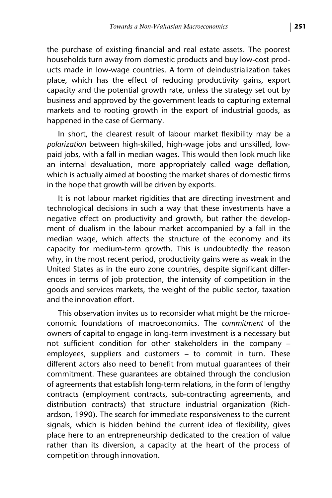the purchase of existing financial and real estate assets. The poorest households turn away from domestic products and buy low-cost products made in low-wage countries. A form of deindustrialization takes place, which has the effect of reducing productivity gains, export capacity and the potential growth rate, unless the strategy set out by business and approved by the government leads to capturing external markets and to rooting growth in the export of industrial goods, as happened in the case of Germany.

In short, the clearest result of labour market flexibility may be a *polarization* between high-skilled, high-wage jobs and unskilled, lowpaid jobs, with a fall in median wages. This would then look much like an internal devaluation, more appropriately called wage deflation, which is actually aimed at boosting the market shares of domestic firms in the hope that growth will be driven by exports.

It is not labour market rigidities that are directing investment and technological decisions in such a way that these investments have a negative effect on productivity and growth, but rather the development of dualism in the labour market accompanied by a fall in the median wage, which affects the structure of the economy and its capacity for medium-term growth. This is undoubtedly the reason why, in the most recent period, productivity gains were as weak in the United States as in the euro zone countries, despite significant differences in terms of job protection, the intensity of competition in the goods and services markets, the weight of the public sector, taxation and the innovation effort.

This observation invites us to reconsider what might be the microeconomic foundations of macroeconomics. The *commitment* of the owners of capital to engage in long-term investment is a necessary but not sufficient condition for other stakeholders in the company – employees, suppliers and customers – to commit in turn. These different actors also need to benefit from mutual guarantees of their commitment. These guarantees are obtained through the conclusion of agreements that establish long-term relations, in the form of lengthy contracts (employment contracts, sub-contracting agreements, and distribution contracts) that structure industrial organization (Richardson, 1990). The search for immediate responsiveness to the current signals, which is hidden behind the current idea of flexibility, gives place here to an entrepreneurship dedicated to the creation of value rather than its diversion, a capacity at the heart of the process of competition through innovation.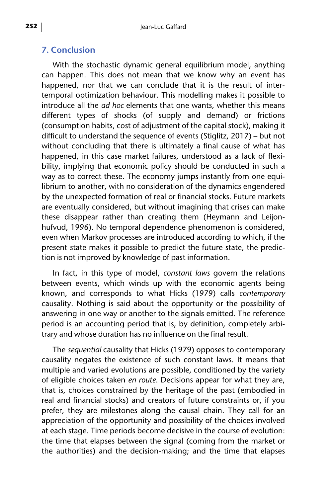### **7. Conclusion**

With the stochastic dynamic general equilibrium model, anything can happen. This does not mean that we know why an event has happened, nor that we can conclude that it is the result of intertemporal optimization behaviour. This modelling makes it possible to introduce all the *ad hoc* elements that one wants, whether this means different types of shocks (of supply and demand) or frictions (consumption habits, cost of adjustment of the capital stock), making it difficult to understand the sequence of events (Stiglitz, 2017) – but not without concluding that there is ultimately a final cause of what has happened, in this case market failures, understood as a lack of flexibility, implying that economic policy should be conducted in such a way as to correct these. The economy jumps instantly from one equilibrium to another, with no consideration of the dynamics engendered by the unexpected formation of real or financial stocks. Future markets are eventually considered, but without imagining that crises can make these disappear rather than creating them (Heymann and Leijonhufvud, 1996). No temporal dependence phenomenon is considered, even when Markov processes are introduced according to which, if the present state makes it possible to predict the future state, the prediction is not improved by knowledge of past information.

In fact, in this type of model, *constant laws* govern the relations between events, which winds up with the economic agents being known, and corresponds to what Hicks (1979) calls *contemporary* causality. Nothing is said about the opportunity or the possibility of answering in one way or another to the signals emitted. The reference period is an accounting period that is, by definition, completely arbitrary and whose duration has no influence on the final result.

The *sequential* causality that Hicks (1979) opposes to contemporary causality negates the existence of such constant laws. It means that multiple and varied evolutions are possible, conditioned by the variety of eligible choices taken *en route*. Decisions appear for what they are, that is, choices constrained by the heritage of the past (embodied in real and financial stocks) and creators of future constraints or, if you prefer, they are milestones along the causal chain. They call for an appreciation of the opportunity and possibility of the choices involved at each stage. Time periods become decisive in the course of evolution: the time that elapses between the signal (coming from the market or the authorities) and the decision-making; and the time that elapses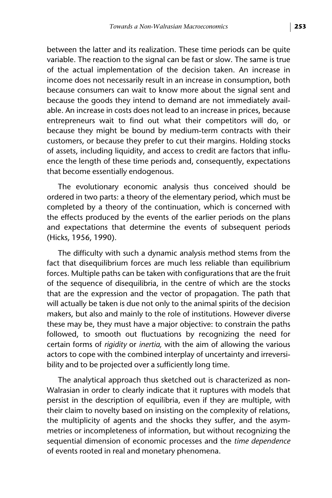between the latter and its realization. These time periods can be quite variable. The reaction to the signal can be fast or slow. The same is true of the actual implementation of the decision taken. An increase in income does not necessarily result in an increase in consumption, both because consumers can wait to know more about the signal sent and because the goods they intend to demand are not immediately available. An increase in costs does not lead to an increase in prices, because entrepreneurs wait to find out what their competitors will do, or because they might be bound by medium-term contracts with their customers, or because they prefer to cut their margins. Holding stocks of assets, including liquidity, and access to credit are factors that influence the length of these time periods and, consequently, expectations that become essentially endogenous.

The evolutionary economic analysis thus conceived should be ordered in two parts: a theory of the elementary period, which must be completed by a theory of the continuation, which is concerned with the effects produced by the events of the earlier periods on the plans and expectations that determine the events of subsequent periods (Hicks, 1956, 1990).

The difficulty with such a dynamic analysis method stems from the fact that disequilibrium forces are much less reliable than equilibrium forces. Multiple paths can be taken with configurations that are the fruit of the sequence of disequilibria, in the centre of which are the stocks that are the expression and the vector of propagation. The path that will actually be taken is due not only to the animal spirits of the decision makers, but also and mainly to the role of institutions. However diverse these may be, they must have a major objective: to constrain the paths followed, to smooth out fluctuations by recognizing the need for certain forms of *rigidity* or *inertia,* with the aim of allowing the various actors to cope with the combined interplay of uncertainty and irreversibility and to be projected over a sufficiently long time.

The analytical approach thus sketched out is characterized as non-Walrasian in order to clearly indicate that it ruptures with models that persist in the description of equilibria, even if they are multiple, with their claim to novelty based on insisting on the complexity of relations, the multiplicity of agents and the shocks they suffer, and the asymmetries or incompleteness of information, but without recognizing the sequential dimension of economic processes and the *time dependence* of events rooted in real and monetary phenomena.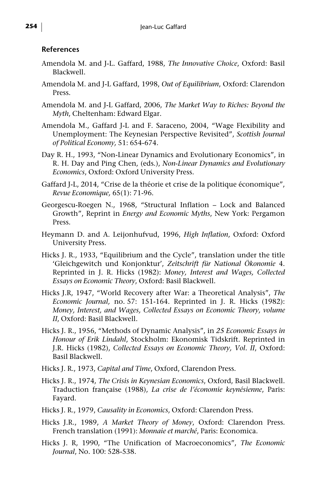#### **References**

- Amendola M. and J-L. Gaffard, 1988, *The Innovative Choice*, Oxford: Basil Blackwell.
- Amendola M. and J-L Gaffard, 1998, *Out of Equilibrium*, Oxford: Clarendon Press.
- Amendola M. and J-L Gaffard, 2006, *The Market Way to Riches: Beyond the Myth*, Cheltenham: Edward Elgar.
- Amendola M., Gaffard J-L and F. Saraceno, 2004, "Wage Flexibility and Unemployment: The Keynesian Perspective Revisited", *Scottish Journal of Political Economy,* 51: 654-674.
- Day R. H., 1993, "Non-Linear Dynamics and Evolutionary Economics", in R. H. Day and Ping Chen, (eds.), *Non-Linear Dynamics and Evolutionary Economics*, Oxford: Oxford University Press.
- Gaffard J-L, 2014, "Crise de la théorie et crise de la politique économique", *Revue Economique,* 65(1): 71-96.
- Georgescu-Roegen N., 1968, "Structural Inflation Lock and Balanced Growth", Reprint in *Energy and Economic Myths*, New York: Pergamon Press.
- Heymann D. and A. Leijonhufvud, 1996, *High Inflation*, Oxford: Oxford University Press.
- Hicks J. R., 1933, "Equilibrium and the Cycle", translation under the title 'Gleichgewitch und Konjonktur', *Zeitschrift für National Ökonomie* 4. Reprinted in J. R. Hicks (1982): *Money, Interest and Wages, Collected Essays on Economic Theory*, Oxford: Basil Blackwell.
- Hicks J.R, 1947, "World Recovery after War: a Theoretical Analysis", *The Economic Journal,* no. 57: 151-164. Reprinted in J. R. Hicks (1982): *Money, Interest, and Wages, Collected Essays on Economic Theory, volume II*, Oxford: Basil Blackwell.
- Hicks J. R., 1956, "Methods of Dynamic Analysis", in *25 Economic Essays in Honour of Erik Lindahl*, Stockholm: Ekonomisk Tidskrift. Reprinted in J.R. Hicks (1982), *Collected Essays on Economic Theory, Vol. II*, Oxford: Basil Blackwell.
- Hicks J. R., 1973, *Capital and Time*, Oxford, Clarendon Press.
- Hicks J. R., 1974, *The Crisis in Keynesian Economics*, Oxford, Basil Blackwell. Traduction française (1988), *La crise de l'économie keynésienne*, Paris: Fayard.
- Hicks J. R., 1979, *Causality in Economics*, Oxford: Clarendon Press.
- Hicks J.R., 1989, *A Market Theory of Money*, Oxford: Clarendon Press. French translation (1991): *Monnaie et marché*, Paris: Economica.
- Hicks J. R, 1990, "The Unification of Macroeconomics", *The Economic Journal*, No. 100: 528-538.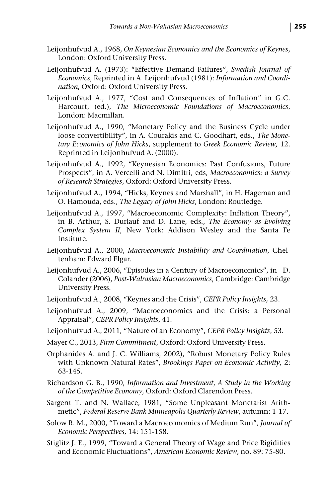- Leijonhufvud A., 1968, *On Keynesian Economics and the Economics of Keynes*, London: Oxford University Press.
- Leijonhufvud A. (1973): "Effective Demand Failures", *Swedish Journal of Economics*, Reprinted in A. Leijonhufvud (1981): *Information and Coordination*, Oxford: Oxford University Press.
- Leijonhufvud A., 1977, "Cost and Consequences of Inflation" in G.C. Harcourt, (ed.), *The Microeconomic Foundations of Macroeconomics*, London: Macmillan.
- Leijonhufvud A., 1990, "Monetary Policy and the Business Cycle under loose convertibility", in A. Courakis and C. Goodhart, eds., *The Monetary Economics of John Hicks*, supplement to *Greek Economic Review,* 12. Reprinted in Leijonhufvud A. (2000).
- Leijonhufvud A., 1992, "Keynesian Economics: Past Confusions, Future Prospects", in A. Vercelli and N. Dimitri, eds, *Macroeconomics: a Survey of Research Strategies*, Oxford: Oxford University Press.
- Leijonhufvud A., 1994, "Hicks, Keynes and Marshall", in H. Hageman and O. Hamouda, eds., *The Legacy of John Hicks*, London: Routledge.
- Leijonhufvud A., 1997, "Macroeconomic Complexity: Inflation Theory", in B. Arthur, S. Durlauf and D. Lane, eds., *The Economy as Evolving Complex System II*, New York: Addison Wesley and the Santa Fe Institute.
- Leijonhufvud A., 2000, *Macroeconomic Instability and Coordination*, Cheltenham: Edward Elgar.
- Leijonhufvud A., 2006, "Episodes in a Century of Macroeconomics", in D. Colander (2006), *Post-Walrasian Macroeconomics*, Cambridge: Cambridge University Press.
- Leijonhufvud A., 2008, "Keynes and the Crisis", *CEPR Policy Insights,* 23.
- Leijonhufvud A., 2009, "Macroeconomics and the Crisis: a Personal Appraisal", *CEPR Policy Insights*, 41.
- Leijonhufvud A., 2011, "Nature of an Economy", *CEPR Policy Insights*, 53.
- Mayer C., 2013, *Firm Commitment*, Oxford: Oxford University Press.
- Orphanides A. and J. C. Williams, 2002), "Robust Monetary Policy Rules with Unknown Natural Rates", *Brookings Paper on Economic Activity,* 2: 63-145.
- Richardson G. B., 1990, *Information and Investment*, *A Study in the Working of the Competitive Economy*, Oxford: Oxford Clarendon Press.
- Sargent T. and N. Wallace, 1981, "Some Unpleasant Monetarist Arithmetic", *Federal Reserve Bank Minneapolis Quarterly Review*, autumn: 1-17.
- Solow R. M., 2000, "Toward a Macroeconomics of Medium Run", *Journal of Economic Perspectives,* 14: 151-158.
- Stiglitz J. E., 1999, "Toward a General Theory of Wage and Price Rigidities and Economic Fluctuations", *American Economic Review*, no. 89: 75-80.